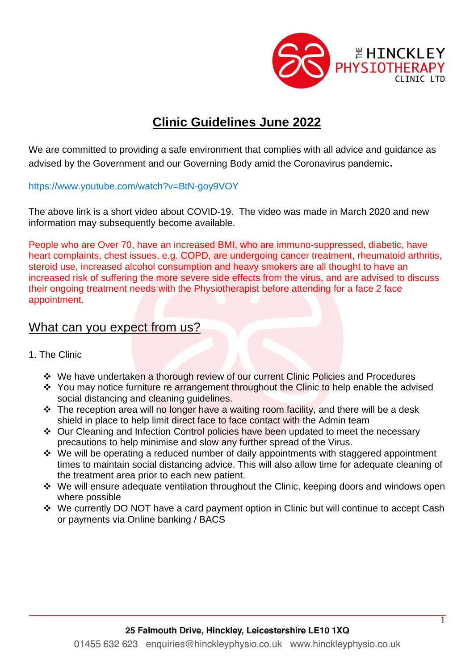

## **Clinic Guidelines June 2022**

We are committed to providing a safe environment that complies with all advice and guidance as advised by the Government and our Governing Body amid the Coronavirus pandemic.

<https://www.youtube.com/watch?v=BtN-goy9VOY>

The above link is a short video about COVID-19. The video was made in March 2020 and new information may subsequently become available.

People who are Over 70, have an increased BMI, who are immuno-suppressed, diabetic, have heart complaints, chest issues, e.g. COPD, are undergoing cancer treatment, rheumatoid arthritis, steroid use, increased alcohol consumption and heavy smokers are all thought to have an increased risk of suffering the more severe side effects from the virus, and are advised to discuss their ongoing treatment needs with the Physiotherapist before attending for a face 2 face appointment.

## What can you expect from us?

- 1. The Clinic
	- ❖ We have undertaken a thorough review of our current Clinic Policies and Procedures
	- ❖ You may notice furniture re arrangement throughout the Clinic to help enable the advised social distancing and cleaning quidelines.
	- ❖ The reception area will no longer have a waiting room facility, and there will be a desk shield in place to help limit direct face to face contact with the Admin team
	- ❖ Our Cleaning and Infection Control policies have been updated to meet the necessary precautions to help minimise and slow any further spread of the Virus.
	- ❖ We will be operating a reduced number of daily appointments with staggered appointment times to maintain social distancing advice. This will also allow time for adequate cleaning of the treatment area prior to each new patient.
	- ❖ We will ensure adequate ventilation throughout the Clinic, keeping doors and windows open where possible
	- ❖ We currently DO NOT have a card payment option in Clinic but will continue to accept Cash or payments via Online banking / BACS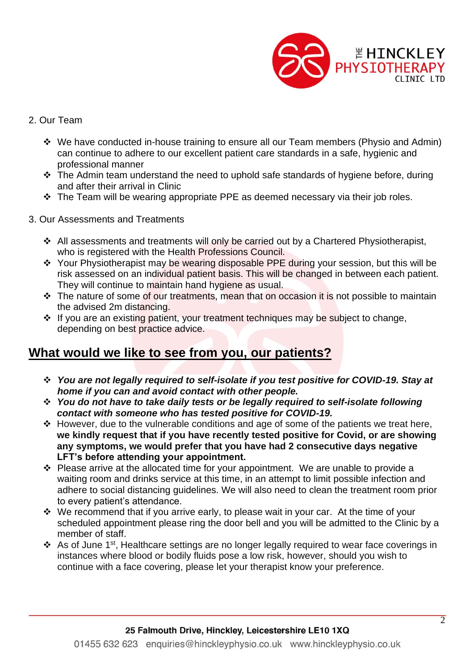

## 2. Our Team

- ❖ We have conducted in-house training to ensure all our Team members (Physio and Admin) can continue to adhere to our excellent patient care standards in a safe, hygienic and professional manner
- ❖ The Admin team understand the need to uphold safe standards of hygiene before, during and after their arrival in Clinic
- ❖ The Team will be wearing appropriate PPE as deemed necessary via their job roles.
- 3. Our Assessments and Treatments
	- ❖ All assessments and treatments will only be carried out by a Chartered Physiotherapist, who is registered with the Health Professions Council.
	- ❖ Your Physiotherapist may be wearing disposable PPE during your session, but this will be risk assessed on an individual patient basis. This will be changed in between each patient. They will continue to maintain hand hygiene as usual.
	- ❖ The nature of some of our treatments, mean that on occasion it is not possible to maintain the advised 2m distancing.
	- ❖ If you are an existing patient, your treatment techniques may be subject to change, depending on best practice advice.

## **What would we like to see from you, our patients?**

- ❖ *You are not legally required to self-isolate if you test positive for COVID-19. Stay at home if you can and avoid contact with other people.*
- ❖ *You do not have to take daily tests or be legally required to self-isolate following contact with someone who has tested positive for COVID-19.*
- ❖ However, due to the vulnerable conditions and age of some of the patients we treat here, **we kindly request that if you have recently tested positive for Covid, or are showing any symptoms, we would prefer that you have had 2 consecutive days negative LFT's before attending your appointment.**
- ❖ Please arrive at the allocated time for your appointment. We are unable to provide a waiting room and drinks service at this time, in an attempt to limit possible infection and adhere to social distancing guidelines. We will also need to clean the treatment room prior to every patient's attendance.
- ❖ We recommend that if you arrive early, to please wait in your car. At the time of your scheduled appointment please ring the door bell and you will be admitted to the Clinic by a member of staff.
- ❖ As of June 1st, Healthcare settings are no longer legally required to wear face coverings in instances where blood or bodily fluids pose a low risk, however, should you wish to continue with a face covering, please let your therapist know your preference.